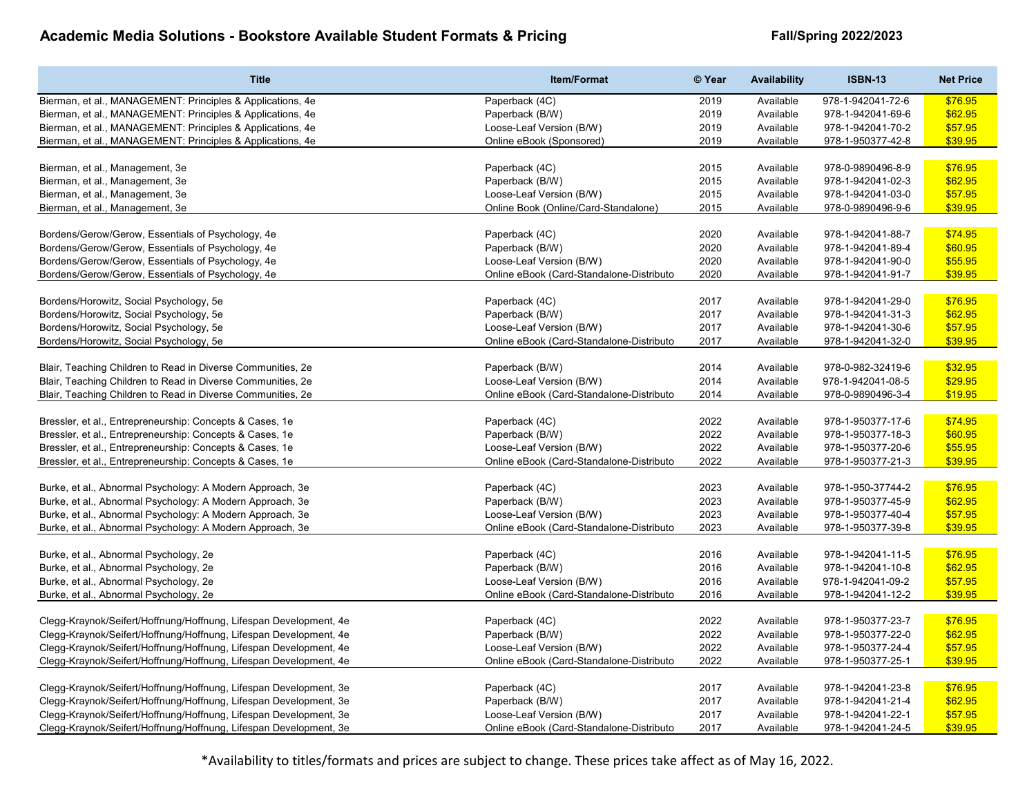| <b>Title</b>                                                      | <b>Item/Format</b>                       | © Year | <b>Availability</b> | <b>ISBN-13</b>    | <b>Net Price</b> |
|-------------------------------------------------------------------|------------------------------------------|--------|---------------------|-------------------|------------------|
| Bierman, et al., MANAGEMENT: Principles & Applications, 4e        | Paperback (4C)                           | 2019   | Available           | 978-1-942041-72-6 | \$76.95          |
| Bierman, et al., MANAGEMENT: Principles & Applications, 4e        | Paperback (B/W)                          | 2019   | Available           | 978-1-942041-69-6 | \$62.95          |
| Bierman, et al., MANAGEMENT: Principles & Applications, 4e        | Loose-Leaf Version (B/W)                 | 2019   | Available           | 978-1-942041-70-2 | \$57.95          |
| Bierman, et al., MANAGEMENT: Principles & Applications, 4e        | Online eBook (Sponsored)                 | 2019   | Available           | 978-1-950377-42-8 | \$39.95          |
|                                                                   |                                          |        |                     |                   |                  |
| Bierman, et al., Management, 3e                                   | Paperback (4C)                           | 2015   | Available           | 978-0-9890496-8-9 | \$76.95          |
| Bierman, et al., Management, 3e                                   | Paperback (B/W)                          | 2015   | Available           | 978-1-942041-02-3 | \$62.95          |
| Bierman, et al., Management, 3e                                   | Loose-Leaf Version (B/W)                 | 2015   | Available           | 978-1-942041-03-0 | \$57.95          |
| Bierman, et al., Management, 3e                                   | Online Book (Online/Card-Standalone)     | 2015   | Available           | 978-0-9890496-9-6 | \$39.95          |
|                                                                   |                                          |        |                     |                   |                  |
| Bordens/Gerow/Gerow, Essentials of Psychology, 4e                 | Paperback (4C)                           | 2020   | Available           | 978-1-942041-88-7 | \$74.95          |
| Bordens/Gerow/Gerow, Essentials of Psychology, 4e                 | Paperback (B/W)                          | 2020   | Available           | 978-1-942041-89-4 | \$60.95          |
| Bordens/Gerow/Gerow, Essentials of Psychology, 4e                 | Loose-Leaf Version (B/W)                 | 2020   | Available           | 978-1-942041-90-0 | \$55.95          |
| Bordens/Gerow/Gerow, Essentials of Psychology, 4e                 | Online eBook (Card-Standalone-Distributo | 2020   | Available           | 978-1-942041-91-7 | \$39.95          |
|                                                                   |                                          |        |                     |                   |                  |
| Bordens/Horowitz, Social Psychology, 5e                           | Paperback (4C)                           | 2017   | Available           | 978-1-942041-29-0 | \$76.95          |
| Bordens/Horowitz, Social Psychology, 5e                           | Paperback (B/W)                          | 2017   | Available           | 978-1-942041-31-3 | \$62.95          |
| Bordens/Horowitz, Social Psychology, 5e                           | Loose-Leaf Version (B/W)                 | 2017   | Available           | 978-1-942041-30-6 | \$57.95          |
| Bordens/Horowitz, Social Psychology, 5e                           | Online eBook (Card-Standalone-Distributo | 2017   | Available           | 978-1-942041-32-0 | \$39.95          |
|                                                                   |                                          |        |                     |                   |                  |
| Blair, Teaching Children to Read in Diverse Communities, 2e       | Paperback (B/W)                          | 2014   | Available           | 978-0-982-32419-6 | \$32.95          |
| Blair, Teaching Children to Read in Diverse Communities, 2e       | Loose-Leaf Version (B/W)                 | 2014   | Available           | 978-1-942041-08-5 | \$29.95          |
| Blair, Teaching Children to Read in Diverse Communities, 2e       | Online eBook (Card-Standalone-Distributo | 2014   | Available           | 978-0-9890496-3-4 | \$19.95          |
|                                                                   |                                          |        |                     |                   |                  |
| Bressler, et al., Entrepreneurship: Concepts & Cases, 1e          | Paperback (4C)                           | 2022   | Available           | 978-1-950377-17-6 | \$74.95          |
| Bressler, et al., Entrepreneurship: Concepts & Cases, 1e          | Paperback (B/W)                          | 2022   | Available           | 978-1-950377-18-3 | \$60.95          |
| Bressler, et al., Entrepreneurship: Concepts & Cases, 1e          | Loose-Leaf Version (B/W)                 | 2022   | Available           | 978-1-950377-20-6 | \$55.95          |
| Bressler, et al., Entrepreneurship: Concepts & Cases, 1e          | Online eBook (Card-Standalone-Distributo | 2022   | Available           | 978-1-950377-21-3 | \$39.95          |
|                                                                   |                                          |        |                     |                   |                  |
| Burke, et al., Abnormal Psychology: A Modern Approach, 3e         | Paperback (4C)                           | 2023   | Available           | 978-1-950-37744-2 | \$76.95          |
| Burke, et al., Abnormal Psychology: A Modern Approach, 3e         | Paperback (B/W)                          | 2023   | Available           | 978-1-950377-45-9 | \$62.95          |
| Burke, et al., Abnormal Psychology: A Modern Approach, 3e         | Loose-Leaf Version (B/W)                 | 2023   | Available           | 978-1-950377-40-4 | \$57.95          |
| Burke, et al., Abnormal Psychology: A Modern Approach, 3e         | Online eBook (Card-Standalone-Distributo | 2023   | Available           | 978-1-950377-39-8 | \$39.95          |
|                                                                   |                                          |        |                     |                   |                  |
| Burke, et al., Abnormal Psychology, 2e                            | Paperback (4C)                           | 2016   | Available           | 978-1-942041-11-5 | \$76.95          |
| Burke, et al., Abnormal Psychology, 2e                            | Paperback (B/W)                          | 2016   | Available           | 978-1-942041-10-8 | \$62.95          |
| Burke, et al., Abnormal Psychology, 2e                            | Loose-Leaf Version (B/W)                 | 2016   | Available           | 978-1-942041-09-2 | \$57.95          |
| Burke, et al., Abnormal Psychology, 2e                            | Online eBook (Card-Standalone-Distributo | 2016   | Available           | 978-1-942041-12-2 | \$39.95          |
|                                                                   |                                          |        |                     |                   |                  |
| Clegg-Kraynok/Seifert/Hoffnung/Hoffnung, Lifespan Development, 4e | Paperback (4C)                           | 2022   | Available           | 978-1-950377-23-7 | \$76.95          |
| Clegg-Kraynok/Seifert/Hoffnung/Hoffnung, Lifespan Development, 4e | Paperback (B/W)                          | 2022   | Available           | 978-1-950377-22-0 | \$62.95          |
| Clegg-Kraynok/Seifert/Hoffnung/Hoffnung, Lifespan Development, 4e | Loose-Leaf Version (B/W)                 | 2022   | Available           | 978-1-950377-24-4 | \$57.95          |
| Clegg-Kraynok/Seifert/Hoffnung/Hoffnung, Lifespan Development, 4e | Online eBook (Card-Standalone-Distributo | 2022   | Available           | 978-1-950377-25-1 | \$39.95          |
|                                                                   |                                          |        |                     |                   |                  |
| Clegg-Kraynok/Seifert/Hoffnung/Hoffnung, Lifespan Development, 3e | Paperback (4C)                           | 2017   | Available           | 978-1-942041-23-8 | \$76.95          |
| Clegg-Kraynok/Seifert/Hoffnung/Hoffnung, Lifespan Development, 3e | Paperback (B/W)                          | 2017   | Available           | 978-1-942041-21-4 | \$62.95          |
| Clegg-Kraynok/Seifert/Hoffnung/Hoffnung, Lifespan Development, 3e | Loose-Leaf Version (B/W)                 | 2017   | Available           | 978-1-942041-22-1 | \$57.95          |
| Clegg-Kraynok/Seifert/Hoffnung/Hoffnung, Lifespan Development, 3e | Online eBook (Card-Standalone-Distributo | 2017   | Available           | 978-1-942041-24-5 | \$39.95          |
|                                                                   |                                          |        |                     |                   |                  |

\*Availability to titles/formats and prices are subject to change. These prices take affect as of May 16, 2022.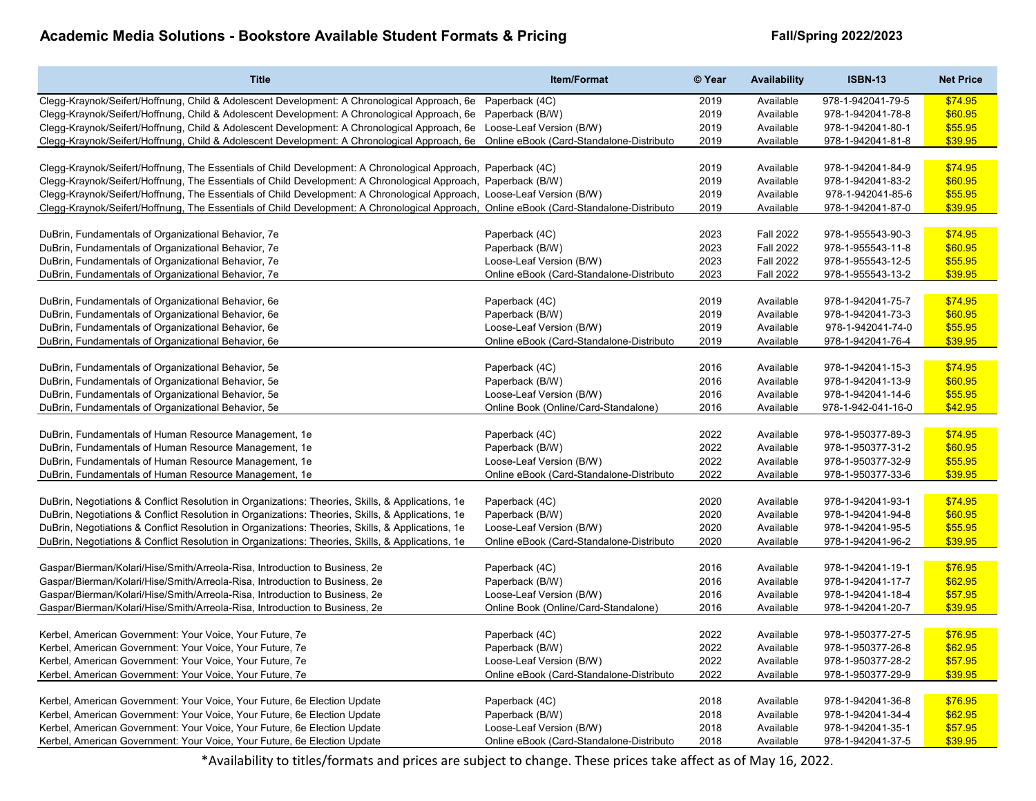| \$74.95<br>Clegg-Kraynok/Seifert/Hoffnung, Child & Adolescent Development: A Chronological Approach, 6e Paperback (4C)<br>2019<br>Available<br>978-1-942041-79-5<br>Clegg-Kraynok/Seifert/Hoffnung, Child & Adolescent Development: A Chronological Approach, 6e<br>2019<br>Available<br>978-1-942041-78-8<br>\$60.95<br>Paperback (B/W)<br>Clegg-Kraynok/Seifert/Hoffnung, Child & Adolescent Development: A Chronological Approach, 6e Loose-Leaf Version (B/W)<br>2019<br>Available<br>\$55.95<br>978-1-942041-80-1<br>\$39.95<br>Clegg-Kraynok/Seifert/Hoffnung, Child & Adolescent Development: A Chronological Approach, 6e Online eBook (Card-Standalone-Distributo<br>2019<br>Available<br>978-1-942041-81-8<br>Clegg-Kraynok/Seifert/Hoffnung, The Essentials of Child Development: A Chronological Approach, Paperback (4C)<br>2019<br>978-1-942041-84-9<br>\$74.95<br>Available<br>Clegg-Kraynok/Seifert/Hoffnung, The Essentials of Child Development: A Chronological Approach, Paperback (B/W)<br>2019<br>978-1-942041-83-2<br>\$60.95<br>Available<br>\$55.95<br>Clegg-Kraynok/Seifert/Hoffnung, The Essentials of Child Development: A Chronological Approach, Loose-Leaf Version (B/W)<br>2019<br>Available<br>978-1-942041-85-6<br>Clegg-Kraynok/Seifert/Hoffnung, The Essentials of Child Development: A Chronological Approach, Online eBook (Card-Standalone-Distributo<br>Available<br>\$39.95<br>2019<br>978-1-942041-87-0<br>\$74.95<br>DuBrin, Fundamentals of Organizational Behavior, 7e<br>Paperback (4C)<br>2023<br><b>Fall 2022</b><br>978-1-955543-90-3<br>2023<br><b>Fall 2022</b><br>\$60.95<br>DuBrin, Fundamentals of Organizational Behavior, 7e<br>Paperback (B/W)<br>978-1-955543-11-8<br><b>Fall 2022</b><br>\$55.95<br>DuBrin, Fundamentals of Organizational Behavior, 7e<br>Loose-Leaf Version (B/W)<br>2023<br>978-1-955543-12-5<br>DuBrin, Fundamentals of Organizational Behavior, 7e<br>Online eBook (Card-Standalone-Distributo<br>2023<br><b>Fall 2022</b><br>978-1-955543-13-2<br>\$39.95<br>\$74.95<br>DuBrin, Fundamentals of Organizational Behavior, 6e<br>Paperback (4C)<br>2019<br>Available<br>978-1-942041-75-7<br>DuBrin, Fundamentals of Organizational Behavior, 6e<br>Available<br>\$60.95<br>Paperback (B/W)<br>2019<br>978-1-942041-73-3<br>DuBrin, Fundamentals of Organizational Behavior, 6e<br>Loose-Leaf Version (B/W)<br>2019<br>Available<br>978-1-942041-74-0<br>\$55.95<br>2019<br>Available<br>\$39.95<br>DuBrin, Fundamentals of Organizational Behavior, 6e<br>Online eBook (Card-Standalone-Distributo<br>978-1-942041-76-4<br>\$74.95<br>DuBrin, Fundamentals of Organizational Behavior, 5e<br>Paperback (4C)<br>2016<br>Available<br>978-1-942041-15-3<br>DuBrin, Fundamentals of Organizational Behavior, 5e<br>Paperback (B/W)<br>2016<br>Available<br>978-1-942041-13-9<br>\$60.95<br>\$55.95<br>DuBrin, Fundamentals of Organizational Behavior, 5e<br>Loose-Leaf Version (B/W)<br>2016<br>Available<br>978-1-942041-14-6<br>\$42.95<br>DuBrin, Fundamentals of Organizational Behavior, 5e<br>Online Book (Online/Card-Standalone)<br>2016<br>Available<br>978-1-942-041-16-0<br>DuBrin, Fundamentals of Human Resource Management, 1e<br>2022<br>978-1-950377-89-3<br>\$74.95<br>Paperback (4C)<br>Available<br>2022<br>\$60.95<br>DuBrin, Fundamentals of Human Resource Management, 1e<br>Paperback (B/W)<br>Available<br>978-1-950377-31-2<br>2022<br>Available<br>\$55.95<br>DuBrin, Fundamentals of Human Resource Management, 1e<br>Loose-Leaf Version (B/W)<br>978-1-950377-32-9<br>2022<br>\$39.95<br>DuBrin, Fundamentals of Human Resource Management, 1e<br>Online eBook (Card-Standalone-Distributo<br>Available<br>978-1-950377-33-6<br>DuBrin, Negotiations & Conflict Resolution in Organizations: Theories, Skills, & Applications, 1e<br>2020<br>978-1-942041-93-1<br>\$74.95<br>Paperback (4C)<br>Available<br>2020<br>Available<br>\$60.95<br>DuBrin, Negotiations & Conflict Resolution in Organizations: Theories, Skills, & Applications, 1e<br>Paperback (B/W)<br>978-1-942041-94-8<br>2020<br>\$55.95<br>DuBrin, Negotiations & Conflict Resolution in Organizations: Theories, Skills, & Applications, 1e<br>Loose-Leaf Version (B/W)<br>Available<br>978-1-942041-95-5<br>\$39.95<br>DuBrin, Negotiations & Conflict Resolution in Organizations: Theories, Skills, & Applications, 1e<br>2020<br>Available<br>978-1-942041-96-2<br>Online eBook (Card-Standalone-Distributo<br>Gaspar/Bierman/Kolari/Hise/Smith/Arreola-Risa, Introduction to Business, 2e<br>Paperback (4C)<br>2016<br>Available<br>978-1-942041-19-1<br>\$76.95<br>Gaspar/Bierman/Kolari/Hise/Smith/Arreola-Risa, Introduction to Business, 2e<br>Paperback (B/W)<br>2016<br>Available<br>978-1-942041-17-7<br>\$62.95<br>Gaspar/Bierman/Kolari/Hise/Smith/Arreola-Risa, Introduction to Business, 2e<br>Loose-Leaf Version (B/W)<br>2016<br>Available<br>978-1-942041-18-4<br>\$57.95<br>\$39.95<br>Gaspar/Bierman/Kolari/Hise/Smith/Arreola-Risa, Introduction to Business, 2e<br>Online Book (Online/Card-Standalone)<br>2016<br>Available<br>978-1-942041-20-7<br>Kerbel, American Government: Your Voice, Your Future, 7e<br>Paperback (4C)<br>2022<br>978-1-950377-27-5<br>\$76.95<br>Available<br>Kerbel, American Government: Your Voice, Your Future, 7e<br>2022<br>Available<br>978-1-950377-26-8<br>\$62.95<br>Paperback (B/W)<br>Kerbel, American Government: Your Voice, Your Future, 7e<br>Loose-Leaf Version (B/W)<br>2022<br>Available<br>978-1-950377-28-2<br>\$57.95<br>2022<br>\$39.95<br>Kerbel, American Government: Your Voice, Your Future, 7e<br>Online eBook (Card-Standalone-Distributo<br>Available<br>978-1-950377-29-9<br>2018<br>978-1-942041-36-8<br>\$76.95<br>Kerbel, American Government: Your Voice, Your Future, 6e Election Update<br>Paperback (4C)<br>Available<br>\$62.95<br>Kerbel, American Government: Your Voice, Your Future, 6e Election Update<br>Paperback (B/W)<br>2018<br>Available<br>978-1-942041-34-4<br>Available<br>\$57.95<br>Kerbel, American Government: Your Voice, Your Future, 6e Election Update<br>Loose-Leaf Version (B/W)<br>2018<br>978-1-942041-35-1<br>\$39.95<br>Kerbel, American Government: Your Voice, Your Future, 6e Election Update<br>Online eBook (Card-Standalone-Distributo<br>2018<br>Available<br>978-1-942041-37-5 | <b>Title</b> | Item/Format | © Year | <b>Availability</b> | <b>ISBN-13</b> | <b>Net Price</b> |
|----------------------------------------------------------------------------------------------------------------------------------------------------------------------------------------------------------------------------------------------------------------------------------------------------------------------------------------------------------------------------------------------------------------------------------------------------------------------------------------------------------------------------------------------------------------------------------------------------------------------------------------------------------------------------------------------------------------------------------------------------------------------------------------------------------------------------------------------------------------------------------------------------------------------------------------------------------------------------------------------------------------------------------------------------------------------------------------------------------------------------------------------------------------------------------------------------------------------------------------------------------------------------------------------------------------------------------------------------------------------------------------------------------------------------------------------------------------------------------------------------------------------------------------------------------------------------------------------------------------------------------------------------------------------------------------------------------------------------------------------------------------------------------------------------------------------------------------------------------------------------------------------------------------------------------------------------------------------------------------------------------------------------------------------------------------------------------------------------------------------------------------------------------------------------------------------------------------------------------------------------------------------------------------------------------------------------------------------------------------------------------------------------------------------------------------------------------------------------------------------------------------------------------------------------------------------------------------------------------------------------------------------------------------------------------------------------------------------------------------------------------------------------------------------------------------------------------------------------------------------------------------------------------------------------------------------------------------------------------------------------------------------------------------------------------------------------------------------------------------------------------------------------------------------------------------------------------------------------------------------------------------------------------------------------------------------------------------------------------------------------------------------------------------------------------------------------------------------------------------------------------------------------------------------------------------------------------------------------------------------------------------------------------------------------------------------------------------------------------------------------------------------------------------------------------------------------------------------------------------------------------------------------------------------------------------------------------------------------------------------------------------------------------------------------------------------------------------------------------------------------------------------------------------------------------------------------------------------------------------------------------------------------------------------------------------------------------------------------------------------------------------------------------------------------------------------------------------------------------------------------------------------------------------------------------------------------------------------------------------------------------------------------------------------------------------------------------------------------------------------------------------------------------------------------------------------------------------------------------------------------------------------------------------------------------------------------------------------------------------------------------------------------------------------------------------------------------------------------------------------------------------------------------------------------------------------------------------------------------------------------------------------------------------------------------------------------------------------------------------------------------------------------------------------------------------------------------------------------------------------------------------------------------------------------------------------------------------------------------------------------------------------------------------------------------------------------------------------------------------------------------------------------------------------------------------------------------------------------------------------------------------------------------------------------------------------------------------------------------------------------------------------------------------------------------------------------------------------------------------------------------------------------------------------------------------------------------------------------------------------------------------------------------------------------------------------------------------------------------------------------------------|--------------|-------------|--------|---------------------|----------------|------------------|
|                                                                                                                                                                                                                                                                                                                                                                                                                                                                                                                                                                                                                                                                                                                                                                                                                                                                                                                                                                                                                                                                                                                                                                                                                                                                                                                                                                                                                                                                                                                                                                                                                                                                                                                                                                                                                                                                                                                                                                                                                                                                                                                                                                                                                                                                                                                                                                                                                                                                                                                                                                                                                                                                                                                                                                                                                                                                                                                                                                                                                                                                                                                                                                                                                                                                                                                                                                                                                                                                                                                                                                                                                                                                                                                                                                                                                                                                                                                                                                                                                                                                                                                                                                                                                                                                                                                                                                                                                                                                                                                                                                                                                                                                                                                                                                                                                                                                                                                                                                                                                                                                                                                                                                                                                                                                                                                                                                                                                                                                                                                                                                                                                                                                                                                                                                                                                                                                                                                                                                                                                                                                                                                                                                                                                                                                                                                                                                                        |              |             |        |                     |                |                  |
|                                                                                                                                                                                                                                                                                                                                                                                                                                                                                                                                                                                                                                                                                                                                                                                                                                                                                                                                                                                                                                                                                                                                                                                                                                                                                                                                                                                                                                                                                                                                                                                                                                                                                                                                                                                                                                                                                                                                                                                                                                                                                                                                                                                                                                                                                                                                                                                                                                                                                                                                                                                                                                                                                                                                                                                                                                                                                                                                                                                                                                                                                                                                                                                                                                                                                                                                                                                                                                                                                                                                                                                                                                                                                                                                                                                                                                                                                                                                                                                                                                                                                                                                                                                                                                                                                                                                                                                                                                                                                                                                                                                                                                                                                                                                                                                                                                                                                                                                                                                                                                                                                                                                                                                                                                                                                                                                                                                                                                                                                                                                                                                                                                                                                                                                                                                                                                                                                                                                                                                                                                                                                                                                                                                                                                                                                                                                                                                        |              |             |        |                     |                |                  |
|                                                                                                                                                                                                                                                                                                                                                                                                                                                                                                                                                                                                                                                                                                                                                                                                                                                                                                                                                                                                                                                                                                                                                                                                                                                                                                                                                                                                                                                                                                                                                                                                                                                                                                                                                                                                                                                                                                                                                                                                                                                                                                                                                                                                                                                                                                                                                                                                                                                                                                                                                                                                                                                                                                                                                                                                                                                                                                                                                                                                                                                                                                                                                                                                                                                                                                                                                                                                                                                                                                                                                                                                                                                                                                                                                                                                                                                                                                                                                                                                                                                                                                                                                                                                                                                                                                                                                                                                                                                                                                                                                                                                                                                                                                                                                                                                                                                                                                                                                                                                                                                                                                                                                                                                                                                                                                                                                                                                                                                                                                                                                                                                                                                                                                                                                                                                                                                                                                                                                                                                                                                                                                                                                                                                                                                                                                                                                                                        |              |             |        |                     |                |                  |
|                                                                                                                                                                                                                                                                                                                                                                                                                                                                                                                                                                                                                                                                                                                                                                                                                                                                                                                                                                                                                                                                                                                                                                                                                                                                                                                                                                                                                                                                                                                                                                                                                                                                                                                                                                                                                                                                                                                                                                                                                                                                                                                                                                                                                                                                                                                                                                                                                                                                                                                                                                                                                                                                                                                                                                                                                                                                                                                                                                                                                                                                                                                                                                                                                                                                                                                                                                                                                                                                                                                                                                                                                                                                                                                                                                                                                                                                                                                                                                                                                                                                                                                                                                                                                                                                                                                                                                                                                                                                                                                                                                                                                                                                                                                                                                                                                                                                                                                                                                                                                                                                                                                                                                                                                                                                                                                                                                                                                                                                                                                                                                                                                                                                                                                                                                                                                                                                                                                                                                                                                                                                                                                                                                                                                                                                                                                                                                                        |              |             |        |                     |                |                  |
|                                                                                                                                                                                                                                                                                                                                                                                                                                                                                                                                                                                                                                                                                                                                                                                                                                                                                                                                                                                                                                                                                                                                                                                                                                                                                                                                                                                                                                                                                                                                                                                                                                                                                                                                                                                                                                                                                                                                                                                                                                                                                                                                                                                                                                                                                                                                                                                                                                                                                                                                                                                                                                                                                                                                                                                                                                                                                                                                                                                                                                                                                                                                                                                                                                                                                                                                                                                                                                                                                                                                                                                                                                                                                                                                                                                                                                                                                                                                                                                                                                                                                                                                                                                                                                                                                                                                                                                                                                                                                                                                                                                                                                                                                                                                                                                                                                                                                                                                                                                                                                                                                                                                                                                                                                                                                                                                                                                                                                                                                                                                                                                                                                                                                                                                                                                                                                                                                                                                                                                                                                                                                                                                                                                                                                                                                                                                                                                        |              |             |        |                     |                |                  |
|                                                                                                                                                                                                                                                                                                                                                                                                                                                                                                                                                                                                                                                                                                                                                                                                                                                                                                                                                                                                                                                                                                                                                                                                                                                                                                                                                                                                                                                                                                                                                                                                                                                                                                                                                                                                                                                                                                                                                                                                                                                                                                                                                                                                                                                                                                                                                                                                                                                                                                                                                                                                                                                                                                                                                                                                                                                                                                                                                                                                                                                                                                                                                                                                                                                                                                                                                                                                                                                                                                                                                                                                                                                                                                                                                                                                                                                                                                                                                                                                                                                                                                                                                                                                                                                                                                                                                                                                                                                                                                                                                                                                                                                                                                                                                                                                                                                                                                                                                                                                                                                                                                                                                                                                                                                                                                                                                                                                                                                                                                                                                                                                                                                                                                                                                                                                                                                                                                                                                                                                                                                                                                                                                                                                                                                                                                                                                                                        |              |             |        |                     |                |                  |
|                                                                                                                                                                                                                                                                                                                                                                                                                                                                                                                                                                                                                                                                                                                                                                                                                                                                                                                                                                                                                                                                                                                                                                                                                                                                                                                                                                                                                                                                                                                                                                                                                                                                                                                                                                                                                                                                                                                                                                                                                                                                                                                                                                                                                                                                                                                                                                                                                                                                                                                                                                                                                                                                                                                                                                                                                                                                                                                                                                                                                                                                                                                                                                                                                                                                                                                                                                                                                                                                                                                                                                                                                                                                                                                                                                                                                                                                                                                                                                                                                                                                                                                                                                                                                                                                                                                                                                                                                                                                                                                                                                                                                                                                                                                                                                                                                                                                                                                                                                                                                                                                                                                                                                                                                                                                                                                                                                                                                                                                                                                                                                                                                                                                                                                                                                                                                                                                                                                                                                                                                                                                                                                                                                                                                                                                                                                                                                                        |              |             |        |                     |                |                  |
|                                                                                                                                                                                                                                                                                                                                                                                                                                                                                                                                                                                                                                                                                                                                                                                                                                                                                                                                                                                                                                                                                                                                                                                                                                                                                                                                                                                                                                                                                                                                                                                                                                                                                                                                                                                                                                                                                                                                                                                                                                                                                                                                                                                                                                                                                                                                                                                                                                                                                                                                                                                                                                                                                                                                                                                                                                                                                                                                                                                                                                                                                                                                                                                                                                                                                                                                                                                                                                                                                                                                                                                                                                                                                                                                                                                                                                                                                                                                                                                                                                                                                                                                                                                                                                                                                                                                                                                                                                                                                                                                                                                                                                                                                                                                                                                                                                                                                                                                                                                                                                                                                                                                                                                                                                                                                                                                                                                                                                                                                                                                                                                                                                                                                                                                                                                                                                                                                                                                                                                                                                                                                                                                                                                                                                                                                                                                                                                        |              |             |        |                     |                |                  |
|                                                                                                                                                                                                                                                                                                                                                                                                                                                                                                                                                                                                                                                                                                                                                                                                                                                                                                                                                                                                                                                                                                                                                                                                                                                                                                                                                                                                                                                                                                                                                                                                                                                                                                                                                                                                                                                                                                                                                                                                                                                                                                                                                                                                                                                                                                                                                                                                                                                                                                                                                                                                                                                                                                                                                                                                                                                                                                                                                                                                                                                                                                                                                                                                                                                                                                                                                                                                                                                                                                                                                                                                                                                                                                                                                                                                                                                                                                                                                                                                                                                                                                                                                                                                                                                                                                                                                                                                                                                                                                                                                                                                                                                                                                                                                                                                                                                                                                                                                                                                                                                                                                                                                                                                                                                                                                                                                                                                                                                                                                                                                                                                                                                                                                                                                                                                                                                                                                                                                                                                                                                                                                                                                                                                                                                                                                                                                                                        |              |             |        |                     |                |                  |
|                                                                                                                                                                                                                                                                                                                                                                                                                                                                                                                                                                                                                                                                                                                                                                                                                                                                                                                                                                                                                                                                                                                                                                                                                                                                                                                                                                                                                                                                                                                                                                                                                                                                                                                                                                                                                                                                                                                                                                                                                                                                                                                                                                                                                                                                                                                                                                                                                                                                                                                                                                                                                                                                                                                                                                                                                                                                                                                                                                                                                                                                                                                                                                                                                                                                                                                                                                                                                                                                                                                                                                                                                                                                                                                                                                                                                                                                                                                                                                                                                                                                                                                                                                                                                                                                                                                                                                                                                                                                                                                                                                                                                                                                                                                                                                                                                                                                                                                                                                                                                                                                                                                                                                                                                                                                                                                                                                                                                                                                                                                                                                                                                                                                                                                                                                                                                                                                                                                                                                                                                                                                                                                                                                                                                                                                                                                                                                                        |              |             |        |                     |                |                  |
|                                                                                                                                                                                                                                                                                                                                                                                                                                                                                                                                                                                                                                                                                                                                                                                                                                                                                                                                                                                                                                                                                                                                                                                                                                                                                                                                                                                                                                                                                                                                                                                                                                                                                                                                                                                                                                                                                                                                                                                                                                                                                                                                                                                                                                                                                                                                                                                                                                                                                                                                                                                                                                                                                                                                                                                                                                                                                                                                                                                                                                                                                                                                                                                                                                                                                                                                                                                                                                                                                                                                                                                                                                                                                                                                                                                                                                                                                                                                                                                                                                                                                                                                                                                                                                                                                                                                                                                                                                                                                                                                                                                                                                                                                                                                                                                                                                                                                                                                                                                                                                                                                                                                                                                                                                                                                                                                                                                                                                                                                                                                                                                                                                                                                                                                                                                                                                                                                                                                                                                                                                                                                                                                                                                                                                                                                                                                                                                        |              |             |        |                     |                |                  |
|                                                                                                                                                                                                                                                                                                                                                                                                                                                                                                                                                                                                                                                                                                                                                                                                                                                                                                                                                                                                                                                                                                                                                                                                                                                                                                                                                                                                                                                                                                                                                                                                                                                                                                                                                                                                                                                                                                                                                                                                                                                                                                                                                                                                                                                                                                                                                                                                                                                                                                                                                                                                                                                                                                                                                                                                                                                                                                                                                                                                                                                                                                                                                                                                                                                                                                                                                                                                                                                                                                                                                                                                                                                                                                                                                                                                                                                                                                                                                                                                                                                                                                                                                                                                                                                                                                                                                                                                                                                                                                                                                                                                                                                                                                                                                                                                                                                                                                                                                                                                                                                                                                                                                                                                                                                                                                                                                                                                                                                                                                                                                                                                                                                                                                                                                                                                                                                                                                                                                                                                                                                                                                                                                                                                                                                                                                                                                                                        |              |             |        |                     |                |                  |
|                                                                                                                                                                                                                                                                                                                                                                                                                                                                                                                                                                                                                                                                                                                                                                                                                                                                                                                                                                                                                                                                                                                                                                                                                                                                                                                                                                                                                                                                                                                                                                                                                                                                                                                                                                                                                                                                                                                                                                                                                                                                                                                                                                                                                                                                                                                                                                                                                                                                                                                                                                                                                                                                                                                                                                                                                                                                                                                                                                                                                                                                                                                                                                                                                                                                                                                                                                                                                                                                                                                                                                                                                                                                                                                                                                                                                                                                                                                                                                                                                                                                                                                                                                                                                                                                                                                                                                                                                                                                                                                                                                                                                                                                                                                                                                                                                                                                                                                                                                                                                                                                                                                                                                                                                                                                                                                                                                                                                                                                                                                                                                                                                                                                                                                                                                                                                                                                                                                                                                                                                                                                                                                                                                                                                                                                                                                                                                                        |              |             |        |                     |                |                  |
|                                                                                                                                                                                                                                                                                                                                                                                                                                                                                                                                                                                                                                                                                                                                                                                                                                                                                                                                                                                                                                                                                                                                                                                                                                                                                                                                                                                                                                                                                                                                                                                                                                                                                                                                                                                                                                                                                                                                                                                                                                                                                                                                                                                                                                                                                                                                                                                                                                                                                                                                                                                                                                                                                                                                                                                                                                                                                                                                                                                                                                                                                                                                                                                                                                                                                                                                                                                                                                                                                                                                                                                                                                                                                                                                                                                                                                                                                                                                                                                                                                                                                                                                                                                                                                                                                                                                                                                                                                                                                                                                                                                                                                                                                                                                                                                                                                                                                                                                                                                                                                                                                                                                                                                                                                                                                                                                                                                                                                                                                                                                                                                                                                                                                                                                                                                                                                                                                                                                                                                                                                                                                                                                                                                                                                                                                                                                                                                        |              |             |        |                     |                |                  |
|                                                                                                                                                                                                                                                                                                                                                                                                                                                                                                                                                                                                                                                                                                                                                                                                                                                                                                                                                                                                                                                                                                                                                                                                                                                                                                                                                                                                                                                                                                                                                                                                                                                                                                                                                                                                                                                                                                                                                                                                                                                                                                                                                                                                                                                                                                                                                                                                                                                                                                                                                                                                                                                                                                                                                                                                                                                                                                                                                                                                                                                                                                                                                                                                                                                                                                                                                                                                                                                                                                                                                                                                                                                                                                                                                                                                                                                                                                                                                                                                                                                                                                                                                                                                                                                                                                                                                                                                                                                                                                                                                                                                                                                                                                                                                                                                                                                                                                                                                                                                                                                                                                                                                                                                                                                                                                                                                                                                                                                                                                                                                                                                                                                                                                                                                                                                                                                                                                                                                                                                                                                                                                                                                                                                                                                                                                                                                                                        |              |             |        |                     |                |                  |
|                                                                                                                                                                                                                                                                                                                                                                                                                                                                                                                                                                                                                                                                                                                                                                                                                                                                                                                                                                                                                                                                                                                                                                                                                                                                                                                                                                                                                                                                                                                                                                                                                                                                                                                                                                                                                                                                                                                                                                                                                                                                                                                                                                                                                                                                                                                                                                                                                                                                                                                                                                                                                                                                                                                                                                                                                                                                                                                                                                                                                                                                                                                                                                                                                                                                                                                                                                                                                                                                                                                                                                                                                                                                                                                                                                                                                                                                                                                                                                                                                                                                                                                                                                                                                                                                                                                                                                                                                                                                                                                                                                                                                                                                                                                                                                                                                                                                                                                                                                                                                                                                                                                                                                                                                                                                                                                                                                                                                                                                                                                                                                                                                                                                                                                                                                                                                                                                                                                                                                                                                                                                                                                                                                                                                                                                                                                                                                                        |              |             |        |                     |                |                  |
|                                                                                                                                                                                                                                                                                                                                                                                                                                                                                                                                                                                                                                                                                                                                                                                                                                                                                                                                                                                                                                                                                                                                                                                                                                                                                                                                                                                                                                                                                                                                                                                                                                                                                                                                                                                                                                                                                                                                                                                                                                                                                                                                                                                                                                                                                                                                                                                                                                                                                                                                                                                                                                                                                                                                                                                                                                                                                                                                                                                                                                                                                                                                                                                                                                                                                                                                                                                                                                                                                                                                                                                                                                                                                                                                                                                                                                                                                                                                                                                                                                                                                                                                                                                                                                                                                                                                                                                                                                                                                                                                                                                                                                                                                                                                                                                                                                                                                                                                                                                                                                                                                                                                                                                                                                                                                                                                                                                                                                                                                                                                                                                                                                                                                                                                                                                                                                                                                                                                                                                                                                                                                                                                                                                                                                                                                                                                                                                        |              |             |        |                     |                |                  |
|                                                                                                                                                                                                                                                                                                                                                                                                                                                                                                                                                                                                                                                                                                                                                                                                                                                                                                                                                                                                                                                                                                                                                                                                                                                                                                                                                                                                                                                                                                                                                                                                                                                                                                                                                                                                                                                                                                                                                                                                                                                                                                                                                                                                                                                                                                                                                                                                                                                                                                                                                                                                                                                                                                                                                                                                                                                                                                                                                                                                                                                                                                                                                                                                                                                                                                                                                                                                                                                                                                                                                                                                                                                                                                                                                                                                                                                                                                                                                                                                                                                                                                                                                                                                                                                                                                                                                                                                                                                                                                                                                                                                                                                                                                                                                                                                                                                                                                                                                                                                                                                                                                                                                                                                                                                                                                                                                                                                                                                                                                                                                                                                                                                                                                                                                                                                                                                                                                                                                                                                                                                                                                                                                                                                                                                                                                                                                                                        |              |             |        |                     |                |                  |
|                                                                                                                                                                                                                                                                                                                                                                                                                                                                                                                                                                                                                                                                                                                                                                                                                                                                                                                                                                                                                                                                                                                                                                                                                                                                                                                                                                                                                                                                                                                                                                                                                                                                                                                                                                                                                                                                                                                                                                                                                                                                                                                                                                                                                                                                                                                                                                                                                                                                                                                                                                                                                                                                                                                                                                                                                                                                                                                                                                                                                                                                                                                                                                                                                                                                                                                                                                                                                                                                                                                                                                                                                                                                                                                                                                                                                                                                                                                                                                                                                                                                                                                                                                                                                                                                                                                                                                                                                                                                                                                                                                                                                                                                                                                                                                                                                                                                                                                                                                                                                                                                                                                                                                                                                                                                                                                                                                                                                                                                                                                                                                                                                                                                                                                                                                                                                                                                                                                                                                                                                                                                                                                                                                                                                                                                                                                                                                                        |              |             |        |                     |                |                  |
|                                                                                                                                                                                                                                                                                                                                                                                                                                                                                                                                                                                                                                                                                                                                                                                                                                                                                                                                                                                                                                                                                                                                                                                                                                                                                                                                                                                                                                                                                                                                                                                                                                                                                                                                                                                                                                                                                                                                                                                                                                                                                                                                                                                                                                                                                                                                                                                                                                                                                                                                                                                                                                                                                                                                                                                                                                                                                                                                                                                                                                                                                                                                                                                                                                                                                                                                                                                                                                                                                                                                                                                                                                                                                                                                                                                                                                                                                                                                                                                                                                                                                                                                                                                                                                                                                                                                                                                                                                                                                                                                                                                                                                                                                                                                                                                                                                                                                                                                                                                                                                                                                                                                                                                                                                                                                                                                                                                                                                                                                                                                                                                                                                                                                                                                                                                                                                                                                                                                                                                                                                                                                                                                                                                                                                                                                                                                                                                        |              |             |        |                     |                |                  |
|                                                                                                                                                                                                                                                                                                                                                                                                                                                                                                                                                                                                                                                                                                                                                                                                                                                                                                                                                                                                                                                                                                                                                                                                                                                                                                                                                                                                                                                                                                                                                                                                                                                                                                                                                                                                                                                                                                                                                                                                                                                                                                                                                                                                                                                                                                                                                                                                                                                                                                                                                                                                                                                                                                                                                                                                                                                                                                                                                                                                                                                                                                                                                                                                                                                                                                                                                                                                                                                                                                                                                                                                                                                                                                                                                                                                                                                                                                                                                                                                                                                                                                                                                                                                                                                                                                                                                                                                                                                                                                                                                                                                                                                                                                                                                                                                                                                                                                                                                                                                                                                                                                                                                                                                                                                                                                                                                                                                                                                                                                                                                                                                                                                                                                                                                                                                                                                                                                                                                                                                                                                                                                                                                                                                                                                                                                                                                                                        |              |             |        |                     |                |                  |
|                                                                                                                                                                                                                                                                                                                                                                                                                                                                                                                                                                                                                                                                                                                                                                                                                                                                                                                                                                                                                                                                                                                                                                                                                                                                                                                                                                                                                                                                                                                                                                                                                                                                                                                                                                                                                                                                                                                                                                                                                                                                                                                                                                                                                                                                                                                                                                                                                                                                                                                                                                                                                                                                                                                                                                                                                                                                                                                                                                                                                                                                                                                                                                                                                                                                                                                                                                                                                                                                                                                                                                                                                                                                                                                                                                                                                                                                                                                                                                                                                                                                                                                                                                                                                                                                                                                                                                                                                                                                                                                                                                                                                                                                                                                                                                                                                                                                                                                                                                                                                                                                                                                                                                                                                                                                                                                                                                                                                                                                                                                                                                                                                                                                                                                                                                                                                                                                                                                                                                                                                                                                                                                                                                                                                                                                                                                                                                                        |              |             |        |                     |                |                  |
|                                                                                                                                                                                                                                                                                                                                                                                                                                                                                                                                                                                                                                                                                                                                                                                                                                                                                                                                                                                                                                                                                                                                                                                                                                                                                                                                                                                                                                                                                                                                                                                                                                                                                                                                                                                                                                                                                                                                                                                                                                                                                                                                                                                                                                                                                                                                                                                                                                                                                                                                                                                                                                                                                                                                                                                                                                                                                                                                                                                                                                                                                                                                                                                                                                                                                                                                                                                                                                                                                                                                                                                                                                                                                                                                                                                                                                                                                                                                                                                                                                                                                                                                                                                                                                                                                                                                                                                                                                                                                                                                                                                                                                                                                                                                                                                                                                                                                                                                                                                                                                                                                                                                                                                                                                                                                                                                                                                                                                                                                                                                                                                                                                                                                                                                                                                                                                                                                                                                                                                                                                                                                                                                                                                                                                                                                                                                                                                        |              |             |        |                     |                |                  |
|                                                                                                                                                                                                                                                                                                                                                                                                                                                                                                                                                                                                                                                                                                                                                                                                                                                                                                                                                                                                                                                                                                                                                                                                                                                                                                                                                                                                                                                                                                                                                                                                                                                                                                                                                                                                                                                                                                                                                                                                                                                                                                                                                                                                                                                                                                                                                                                                                                                                                                                                                                                                                                                                                                                                                                                                                                                                                                                                                                                                                                                                                                                                                                                                                                                                                                                                                                                                                                                                                                                                                                                                                                                                                                                                                                                                                                                                                                                                                                                                                                                                                                                                                                                                                                                                                                                                                                                                                                                                                                                                                                                                                                                                                                                                                                                                                                                                                                                                                                                                                                                                                                                                                                                                                                                                                                                                                                                                                                                                                                                                                                                                                                                                                                                                                                                                                                                                                                                                                                                                                                                                                                                                                                                                                                                                                                                                                                                        |              |             |        |                     |                |                  |
|                                                                                                                                                                                                                                                                                                                                                                                                                                                                                                                                                                                                                                                                                                                                                                                                                                                                                                                                                                                                                                                                                                                                                                                                                                                                                                                                                                                                                                                                                                                                                                                                                                                                                                                                                                                                                                                                                                                                                                                                                                                                                                                                                                                                                                                                                                                                                                                                                                                                                                                                                                                                                                                                                                                                                                                                                                                                                                                                                                                                                                                                                                                                                                                                                                                                                                                                                                                                                                                                                                                                                                                                                                                                                                                                                                                                                                                                                                                                                                                                                                                                                                                                                                                                                                                                                                                                                                                                                                                                                                                                                                                                                                                                                                                                                                                                                                                                                                                                                                                                                                                                                                                                                                                                                                                                                                                                                                                                                                                                                                                                                                                                                                                                                                                                                                                                                                                                                                                                                                                                                                                                                                                                                                                                                                                                                                                                                                                        |              |             |        |                     |                |                  |
|                                                                                                                                                                                                                                                                                                                                                                                                                                                                                                                                                                                                                                                                                                                                                                                                                                                                                                                                                                                                                                                                                                                                                                                                                                                                                                                                                                                                                                                                                                                                                                                                                                                                                                                                                                                                                                                                                                                                                                                                                                                                                                                                                                                                                                                                                                                                                                                                                                                                                                                                                                                                                                                                                                                                                                                                                                                                                                                                                                                                                                                                                                                                                                                                                                                                                                                                                                                                                                                                                                                                                                                                                                                                                                                                                                                                                                                                                                                                                                                                                                                                                                                                                                                                                                                                                                                                                                                                                                                                                                                                                                                                                                                                                                                                                                                                                                                                                                                                                                                                                                                                                                                                                                                                                                                                                                                                                                                                                                                                                                                                                                                                                                                                                                                                                                                                                                                                                                                                                                                                                                                                                                                                                                                                                                                                                                                                                                                        |              |             |        |                     |                |                  |
|                                                                                                                                                                                                                                                                                                                                                                                                                                                                                                                                                                                                                                                                                                                                                                                                                                                                                                                                                                                                                                                                                                                                                                                                                                                                                                                                                                                                                                                                                                                                                                                                                                                                                                                                                                                                                                                                                                                                                                                                                                                                                                                                                                                                                                                                                                                                                                                                                                                                                                                                                                                                                                                                                                                                                                                                                                                                                                                                                                                                                                                                                                                                                                                                                                                                                                                                                                                                                                                                                                                                                                                                                                                                                                                                                                                                                                                                                                                                                                                                                                                                                                                                                                                                                                                                                                                                                                                                                                                                                                                                                                                                                                                                                                                                                                                                                                                                                                                                                                                                                                                                                                                                                                                                                                                                                                                                                                                                                                                                                                                                                                                                                                                                                                                                                                                                                                                                                                                                                                                                                                                                                                                                                                                                                                                                                                                                                                                        |              |             |        |                     |                |                  |
|                                                                                                                                                                                                                                                                                                                                                                                                                                                                                                                                                                                                                                                                                                                                                                                                                                                                                                                                                                                                                                                                                                                                                                                                                                                                                                                                                                                                                                                                                                                                                                                                                                                                                                                                                                                                                                                                                                                                                                                                                                                                                                                                                                                                                                                                                                                                                                                                                                                                                                                                                                                                                                                                                                                                                                                                                                                                                                                                                                                                                                                                                                                                                                                                                                                                                                                                                                                                                                                                                                                                                                                                                                                                                                                                                                                                                                                                                                                                                                                                                                                                                                                                                                                                                                                                                                                                                                                                                                                                                                                                                                                                                                                                                                                                                                                                                                                                                                                                                                                                                                                                                                                                                                                                                                                                                                                                                                                                                                                                                                                                                                                                                                                                                                                                                                                                                                                                                                                                                                                                                                                                                                                                                                                                                                                                                                                                                                                        |              |             |        |                     |                |                  |
|                                                                                                                                                                                                                                                                                                                                                                                                                                                                                                                                                                                                                                                                                                                                                                                                                                                                                                                                                                                                                                                                                                                                                                                                                                                                                                                                                                                                                                                                                                                                                                                                                                                                                                                                                                                                                                                                                                                                                                                                                                                                                                                                                                                                                                                                                                                                                                                                                                                                                                                                                                                                                                                                                                                                                                                                                                                                                                                                                                                                                                                                                                                                                                                                                                                                                                                                                                                                                                                                                                                                                                                                                                                                                                                                                                                                                                                                                                                                                                                                                                                                                                                                                                                                                                                                                                                                                                                                                                                                                                                                                                                                                                                                                                                                                                                                                                                                                                                                                                                                                                                                                                                                                                                                                                                                                                                                                                                                                                                                                                                                                                                                                                                                                                                                                                                                                                                                                                                                                                                                                                                                                                                                                                                                                                                                                                                                                                                        |              |             |        |                     |                |                  |
|                                                                                                                                                                                                                                                                                                                                                                                                                                                                                                                                                                                                                                                                                                                                                                                                                                                                                                                                                                                                                                                                                                                                                                                                                                                                                                                                                                                                                                                                                                                                                                                                                                                                                                                                                                                                                                                                                                                                                                                                                                                                                                                                                                                                                                                                                                                                                                                                                                                                                                                                                                                                                                                                                                                                                                                                                                                                                                                                                                                                                                                                                                                                                                                                                                                                                                                                                                                                                                                                                                                                                                                                                                                                                                                                                                                                                                                                                                                                                                                                                                                                                                                                                                                                                                                                                                                                                                                                                                                                                                                                                                                                                                                                                                                                                                                                                                                                                                                                                                                                                                                                                                                                                                                                                                                                                                                                                                                                                                                                                                                                                                                                                                                                                                                                                                                                                                                                                                                                                                                                                                                                                                                                                                                                                                                                                                                                                                                        |              |             |        |                     |                |                  |
|                                                                                                                                                                                                                                                                                                                                                                                                                                                                                                                                                                                                                                                                                                                                                                                                                                                                                                                                                                                                                                                                                                                                                                                                                                                                                                                                                                                                                                                                                                                                                                                                                                                                                                                                                                                                                                                                                                                                                                                                                                                                                                                                                                                                                                                                                                                                                                                                                                                                                                                                                                                                                                                                                                                                                                                                                                                                                                                                                                                                                                                                                                                                                                                                                                                                                                                                                                                                                                                                                                                                                                                                                                                                                                                                                                                                                                                                                                                                                                                                                                                                                                                                                                                                                                                                                                                                                                                                                                                                                                                                                                                                                                                                                                                                                                                                                                                                                                                                                                                                                                                                                                                                                                                                                                                                                                                                                                                                                                                                                                                                                                                                                                                                                                                                                                                                                                                                                                                                                                                                                                                                                                                                                                                                                                                                                                                                                                                        |              |             |        |                     |                |                  |
|                                                                                                                                                                                                                                                                                                                                                                                                                                                                                                                                                                                                                                                                                                                                                                                                                                                                                                                                                                                                                                                                                                                                                                                                                                                                                                                                                                                                                                                                                                                                                                                                                                                                                                                                                                                                                                                                                                                                                                                                                                                                                                                                                                                                                                                                                                                                                                                                                                                                                                                                                                                                                                                                                                                                                                                                                                                                                                                                                                                                                                                                                                                                                                                                                                                                                                                                                                                                                                                                                                                                                                                                                                                                                                                                                                                                                                                                                                                                                                                                                                                                                                                                                                                                                                                                                                                                                                                                                                                                                                                                                                                                                                                                                                                                                                                                                                                                                                                                                                                                                                                                                                                                                                                                                                                                                                                                                                                                                                                                                                                                                                                                                                                                                                                                                                                                                                                                                                                                                                                                                                                                                                                                                                                                                                                                                                                                                                                        |              |             |        |                     |                |                  |
|                                                                                                                                                                                                                                                                                                                                                                                                                                                                                                                                                                                                                                                                                                                                                                                                                                                                                                                                                                                                                                                                                                                                                                                                                                                                                                                                                                                                                                                                                                                                                                                                                                                                                                                                                                                                                                                                                                                                                                                                                                                                                                                                                                                                                                                                                                                                                                                                                                                                                                                                                                                                                                                                                                                                                                                                                                                                                                                                                                                                                                                                                                                                                                                                                                                                                                                                                                                                                                                                                                                                                                                                                                                                                                                                                                                                                                                                                                                                                                                                                                                                                                                                                                                                                                                                                                                                                                                                                                                                                                                                                                                                                                                                                                                                                                                                                                                                                                                                                                                                                                                                                                                                                                                                                                                                                                                                                                                                                                                                                                                                                                                                                                                                                                                                                                                                                                                                                                                                                                                                                                                                                                                                                                                                                                                                                                                                                                                        |              |             |        |                     |                |                  |
|                                                                                                                                                                                                                                                                                                                                                                                                                                                                                                                                                                                                                                                                                                                                                                                                                                                                                                                                                                                                                                                                                                                                                                                                                                                                                                                                                                                                                                                                                                                                                                                                                                                                                                                                                                                                                                                                                                                                                                                                                                                                                                                                                                                                                                                                                                                                                                                                                                                                                                                                                                                                                                                                                                                                                                                                                                                                                                                                                                                                                                                                                                                                                                                                                                                                                                                                                                                                                                                                                                                                                                                                                                                                                                                                                                                                                                                                                                                                                                                                                                                                                                                                                                                                                                                                                                                                                                                                                                                                                                                                                                                                                                                                                                                                                                                                                                                                                                                                                                                                                                                                                                                                                                                                                                                                                                                                                                                                                                                                                                                                                                                                                                                                                                                                                                                                                                                                                                                                                                                                                                                                                                                                                                                                                                                                                                                                                                                        |              |             |        |                     |                |                  |
|                                                                                                                                                                                                                                                                                                                                                                                                                                                                                                                                                                                                                                                                                                                                                                                                                                                                                                                                                                                                                                                                                                                                                                                                                                                                                                                                                                                                                                                                                                                                                                                                                                                                                                                                                                                                                                                                                                                                                                                                                                                                                                                                                                                                                                                                                                                                                                                                                                                                                                                                                                                                                                                                                                                                                                                                                                                                                                                                                                                                                                                                                                                                                                                                                                                                                                                                                                                                                                                                                                                                                                                                                                                                                                                                                                                                                                                                                                                                                                                                                                                                                                                                                                                                                                                                                                                                                                                                                                                                                                                                                                                                                                                                                                                                                                                                                                                                                                                                                                                                                                                                                                                                                                                                                                                                                                                                                                                                                                                                                                                                                                                                                                                                                                                                                                                                                                                                                                                                                                                                                                                                                                                                                                                                                                                                                                                                                                                        |              |             |        |                     |                |                  |
|                                                                                                                                                                                                                                                                                                                                                                                                                                                                                                                                                                                                                                                                                                                                                                                                                                                                                                                                                                                                                                                                                                                                                                                                                                                                                                                                                                                                                                                                                                                                                                                                                                                                                                                                                                                                                                                                                                                                                                                                                                                                                                                                                                                                                                                                                                                                                                                                                                                                                                                                                                                                                                                                                                                                                                                                                                                                                                                                                                                                                                                                                                                                                                                                                                                                                                                                                                                                                                                                                                                                                                                                                                                                                                                                                                                                                                                                                                                                                                                                                                                                                                                                                                                                                                                                                                                                                                                                                                                                                                                                                                                                                                                                                                                                                                                                                                                                                                                                                                                                                                                                                                                                                                                                                                                                                                                                                                                                                                                                                                                                                                                                                                                                                                                                                                                                                                                                                                                                                                                                                                                                                                                                                                                                                                                                                                                                                                                        |              |             |        |                     |                |                  |
|                                                                                                                                                                                                                                                                                                                                                                                                                                                                                                                                                                                                                                                                                                                                                                                                                                                                                                                                                                                                                                                                                                                                                                                                                                                                                                                                                                                                                                                                                                                                                                                                                                                                                                                                                                                                                                                                                                                                                                                                                                                                                                                                                                                                                                                                                                                                                                                                                                                                                                                                                                                                                                                                                                                                                                                                                                                                                                                                                                                                                                                                                                                                                                                                                                                                                                                                                                                                                                                                                                                                                                                                                                                                                                                                                                                                                                                                                                                                                                                                                                                                                                                                                                                                                                                                                                                                                                                                                                                                                                                                                                                                                                                                                                                                                                                                                                                                                                                                                                                                                                                                                                                                                                                                                                                                                                                                                                                                                                                                                                                                                                                                                                                                                                                                                                                                                                                                                                                                                                                                                                                                                                                                                                                                                                                                                                                                                                                        |              |             |        |                     |                |                  |
|                                                                                                                                                                                                                                                                                                                                                                                                                                                                                                                                                                                                                                                                                                                                                                                                                                                                                                                                                                                                                                                                                                                                                                                                                                                                                                                                                                                                                                                                                                                                                                                                                                                                                                                                                                                                                                                                                                                                                                                                                                                                                                                                                                                                                                                                                                                                                                                                                                                                                                                                                                                                                                                                                                                                                                                                                                                                                                                                                                                                                                                                                                                                                                                                                                                                                                                                                                                                                                                                                                                                                                                                                                                                                                                                                                                                                                                                                                                                                                                                                                                                                                                                                                                                                                                                                                                                                                                                                                                                                                                                                                                                                                                                                                                                                                                                                                                                                                                                                                                                                                                                                                                                                                                                                                                                                                                                                                                                                                                                                                                                                                                                                                                                                                                                                                                                                                                                                                                                                                                                                                                                                                                                                                                                                                                                                                                                                                                        |              |             |        |                     |                |                  |
|                                                                                                                                                                                                                                                                                                                                                                                                                                                                                                                                                                                                                                                                                                                                                                                                                                                                                                                                                                                                                                                                                                                                                                                                                                                                                                                                                                                                                                                                                                                                                                                                                                                                                                                                                                                                                                                                                                                                                                                                                                                                                                                                                                                                                                                                                                                                                                                                                                                                                                                                                                                                                                                                                                                                                                                                                                                                                                                                                                                                                                                                                                                                                                                                                                                                                                                                                                                                                                                                                                                                                                                                                                                                                                                                                                                                                                                                                                                                                                                                                                                                                                                                                                                                                                                                                                                                                                                                                                                                                                                                                                                                                                                                                                                                                                                                                                                                                                                                                                                                                                                                                                                                                                                                                                                                                                                                                                                                                                                                                                                                                                                                                                                                                                                                                                                                                                                                                                                                                                                                                                                                                                                                                                                                                                                                                                                                                                                        |              |             |        |                     |                |                  |
|                                                                                                                                                                                                                                                                                                                                                                                                                                                                                                                                                                                                                                                                                                                                                                                                                                                                                                                                                                                                                                                                                                                                                                                                                                                                                                                                                                                                                                                                                                                                                                                                                                                                                                                                                                                                                                                                                                                                                                                                                                                                                                                                                                                                                                                                                                                                                                                                                                                                                                                                                                                                                                                                                                                                                                                                                                                                                                                                                                                                                                                                                                                                                                                                                                                                                                                                                                                                                                                                                                                                                                                                                                                                                                                                                                                                                                                                                                                                                                                                                                                                                                                                                                                                                                                                                                                                                                                                                                                                                                                                                                                                                                                                                                                                                                                                                                                                                                                                                                                                                                                                                                                                                                                                                                                                                                                                                                                                                                                                                                                                                                                                                                                                                                                                                                                                                                                                                                                                                                                                                                                                                                                                                                                                                                                                                                                                                                                        |              |             |        |                     |                |                  |
|                                                                                                                                                                                                                                                                                                                                                                                                                                                                                                                                                                                                                                                                                                                                                                                                                                                                                                                                                                                                                                                                                                                                                                                                                                                                                                                                                                                                                                                                                                                                                                                                                                                                                                                                                                                                                                                                                                                                                                                                                                                                                                                                                                                                                                                                                                                                                                                                                                                                                                                                                                                                                                                                                                                                                                                                                                                                                                                                                                                                                                                                                                                                                                                                                                                                                                                                                                                                                                                                                                                                                                                                                                                                                                                                                                                                                                                                                                                                                                                                                                                                                                                                                                                                                                                                                                                                                                                                                                                                                                                                                                                                                                                                                                                                                                                                                                                                                                                                                                                                                                                                                                                                                                                                                                                                                                                                                                                                                                                                                                                                                                                                                                                                                                                                                                                                                                                                                                                                                                                                                                                                                                                                                                                                                                                                                                                                                                                        |              |             |        |                     |                |                  |
|                                                                                                                                                                                                                                                                                                                                                                                                                                                                                                                                                                                                                                                                                                                                                                                                                                                                                                                                                                                                                                                                                                                                                                                                                                                                                                                                                                                                                                                                                                                                                                                                                                                                                                                                                                                                                                                                                                                                                                                                                                                                                                                                                                                                                                                                                                                                                                                                                                                                                                                                                                                                                                                                                                                                                                                                                                                                                                                                                                                                                                                                                                                                                                                                                                                                                                                                                                                                                                                                                                                                                                                                                                                                                                                                                                                                                                                                                                                                                                                                                                                                                                                                                                                                                                                                                                                                                                                                                                                                                                                                                                                                                                                                                                                                                                                                                                                                                                                                                                                                                                                                                                                                                                                                                                                                                                                                                                                                                                                                                                                                                                                                                                                                                                                                                                                                                                                                                                                                                                                                                                                                                                                                                                                                                                                                                                                                                                                        |              |             |        |                     |                |                  |
|                                                                                                                                                                                                                                                                                                                                                                                                                                                                                                                                                                                                                                                                                                                                                                                                                                                                                                                                                                                                                                                                                                                                                                                                                                                                                                                                                                                                                                                                                                                                                                                                                                                                                                                                                                                                                                                                                                                                                                                                                                                                                                                                                                                                                                                                                                                                                                                                                                                                                                                                                                                                                                                                                                                                                                                                                                                                                                                                                                                                                                                                                                                                                                                                                                                                                                                                                                                                                                                                                                                                                                                                                                                                                                                                                                                                                                                                                                                                                                                                                                                                                                                                                                                                                                                                                                                                                                                                                                                                                                                                                                                                                                                                                                                                                                                                                                                                                                                                                                                                                                                                                                                                                                                                                                                                                                                                                                                                                                                                                                                                                                                                                                                                                                                                                                                                                                                                                                                                                                                                                                                                                                                                                                                                                                                                                                                                                                                        |              |             |        |                     |                |                  |
|                                                                                                                                                                                                                                                                                                                                                                                                                                                                                                                                                                                                                                                                                                                                                                                                                                                                                                                                                                                                                                                                                                                                                                                                                                                                                                                                                                                                                                                                                                                                                                                                                                                                                                                                                                                                                                                                                                                                                                                                                                                                                                                                                                                                                                                                                                                                                                                                                                                                                                                                                                                                                                                                                                                                                                                                                                                                                                                                                                                                                                                                                                                                                                                                                                                                                                                                                                                                                                                                                                                                                                                                                                                                                                                                                                                                                                                                                                                                                                                                                                                                                                                                                                                                                                                                                                                                                                                                                                                                                                                                                                                                                                                                                                                                                                                                                                                                                                                                                                                                                                                                                                                                                                                                                                                                                                                                                                                                                                                                                                                                                                                                                                                                                                                                                                                                                                                                                                                                                                                                                                                                                                                                                                                                                                                                                                                                                                                        |              |             |        |                     |                |                  |

\*Availability to titles/formats and prices are subject to change. These prices take affect as of May 16, 2022.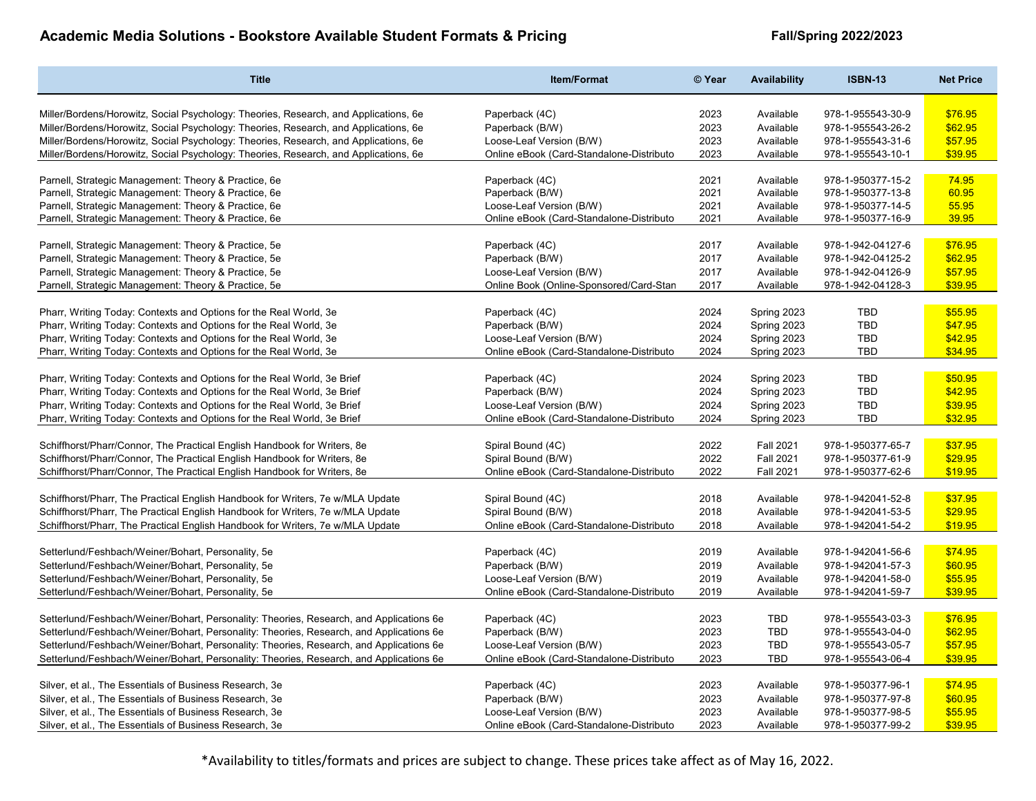| <b>Title</b>                                                                            | <b>Item/Format</b>                       | © Year | Availability     | <b>ISBN-13</b>    | <b>Net Price</b> |
|-----------------------------------------------------------------------------------------|------------------------------------------|--------|------------------|-------------------|------------------|
| Miller/Bordens/Horowitz, Social Psychology: Theories, Research, and Applications, 6e    | Paperback (4C)                           | 2023   | Available        | 978-1-955543-30-9 | \$76.95          |
| Miller/Bordens/Horowitz, Social Psychology: Theories, Research, and Applications, 6e    | Paperback (B/W)                          | 2023   | Available        | 978-1-955543-26-2 | \$62.95          |
| Miller/Bordens/Horowitz, Social Psychology: Theories, Research, and Applications, 6e    | Loose-Leaf Version (B/W)                 | 2023   | Available        | 978-1-955543-31-6 | \$57.95          |
| Miller/Bordens/Horowitz, Social Psychology: Theories, Research, and Applications, 6e    | Online eBook (Card-Standalone-Distributo | 2023   | Available        | 978-1-955543-10-1 | \$39.95          |
|                                                                                         |                                          |        |                  |                   |                  |
| Parnell, Strategic Management: Theory & Practice, 6e                                    | Paperback (4C)                           | 2021   | Available        | 978-1-950377-15-2 | 74.95            |
| Parnell, Strategic Management: Theory & Practice, 6e                                    | Paperback (B/W)                          | 2021   | Available        | 978-1-950377-13-8 | 60.95            |
| Parnell, Strategic Management: Theory & Practice, 6e                                    | Loose-Leaf Version (B/W)                 | 2021   | Available        | 978-1-950377-14-5 | 55.95            |
| Parnell, Strategic Management: Theory & Practice, 6e                                    | Online eBook (Card-Standalone-Distributo | 2021   | Available        | 978-1-950377-16-9 | 39.95            |
|                                                                                         |                                          |        |                  |                   |                  |
| Parnell, Strategic Management: Theory & Practice, 5e                                    | Paperback (4C)                           | 2017   | Available        | 978-1-942-04127-6 | \$76.95          |
| Parnell, Strategic Management: Theory & Practice, 5e                                    | Paperback (B/W)                          | 2017   | Available        | 978-1-942-04125-2 | \$62.95          |
| Parnell, Strategic Management: Theory & Practice, 5e                                    | Loose-Leaf Version (B/W)                 | 2017   | Available        | 978-1-942-04126-9 | \$57.95          |
| Parnell, Strategic Management: Theory & Practice, 5e                                    | Online Book (Online-Sponsored/Card-Stan  | 2017   | Available        | 978-1-942-04128-3 | \$39.95          |
|                                                                                         |                                          |        |                  |                   |                  |
| Pharr, Writing Today: Contexts and Options for the Real World, 3e                       | Paperback (4C)                           | 2024   | Spring 2023      | TBD               | \$55.95          |
| Pharr, Writing Today: Contexts and Options for the Real World, 3e                       | Paperback (B/W)                          | 2024   | Spring 2023      | <b>TBD</b>        | \$47.95          |
| Pharr, Writing Today: Contexts and Options for the Real World, 3e                       | Loose-Leaf Version (B/W)                 | 2024   | Spring 2023      | TBD               | \$42.95          |
| Pharr, Writing Today: Contexts and Options for the Real World, 3e                       | Online eBook (Card-Standalone-Distributo | 2024   | Spring 2023      | TBD               | \$34.95          |
|                                                                                         |                                          |        |                  |                   |                  |
| Pharr, Writing Today: Contexts and Options for the Real World, 3e Brief                 | Paperback (4C)                           | 2024   | Spring 2023      | <b>TBD</b>        | \$50.95          |
| Pharr, Writing Today: Contexts and Options for the Real World, 3e Brief                 | Paperback (B/W)                          | 2024   | Spring 2023      | <b>TBD</b>        | \$42.95          |
| Pharr, Writing Today: Contexts and Options for the Real World, 3e Brief                 | Loose-Leaf Version (B/W)                 | 2024   | Spring 2023      | <b>TBD</b>        | \$39.95          |
| Pharr, Writing Today: Contexts and Options for the Real World, 3e Brief                 | Online eBook (Card-Standalone-Distributo | 2024   | Spring 2023      | TBD               | \$32.95          |
|                                                                                         |                                          |        |                  |                   |                  |
| Schiffhorst/Pharr/Connor, The Practical English Handbook for Writers, 8e                | Spiral Bound (4C)                        | 2022   | <b>Fall 2021</b> | 978-1-950377-65-7 | \$37.95          |
| Schiffhorst/Pharr/Connor, The Practical English Handbook for Writers, 8e                | Spiral Bound (B/W)                       | 2022   | <b>Fall 2021</b> | 978-1-950377-61-9 | \$29.95          |
| Schiffhorst/Pharr/Connor, The Practical English Handbook for Writers, 8e                | Online eBook (Card-Standalone-Distributo | 2022   | <b>Fall 2021</b> | 978-1-950377-62-6 | \$19.95          |
|                                                                                         |                                          |        |                  |                   |                  |
| Schiffhorst/Pharr, The Practical English Handbook for Writers, 7e w/MLA Update          | Spiral Bound (4C)                        | 2018   | Available        | 978-1-942041-52-8 | \$37.95          |
| Schiffhorst/Pharr, The Practical English Handbook for Writers, 7e w/MLA Update          | Spiral Bound (B/W)                       | 2018   | Available        | 978-1-942041-53-5 | \$29.95          |
| Schiffhorst/Pharr, The Practical English Handbook for Writers, 7e w/MLA Update          | Online eBook (Card-Standalone-Distributo | 2018   | Available        | 978-1-942041-54-2 | \$19.95          |
|                                                                                         |                                          |        |                  |                   |                  |
| Setterlund/Feshbach/Weiner/Bohart, Personality, 5e                                      | Paperback (4C)                           | 2019   | Available        | 978-1-942041-56-6 | \$74.95          |
| Setterlund/Feshbach/Weiner/Bohart, Personality, 5e                                      | Paperback (B/W)                          | 2019   | Available        | 978-1-942041-57-3 | \$60.95          |
| Setterlund/Feshbach/Weiner/Bohart, Personality, 5e                                      | Loose-Leaf Version (B/W)                 | 2019   | Available        | 978-1-942041-58-0 | \$55.95          |
| Setterlund/Feshbach/Weiner/Bohart, Personality, 5e                                      | Online eBook (Card-Standalone-Distributo | 2019   | Available        | 978-1-942041-59-7 | \$39.95          |
|                                                                                         |                                          |        |                  |                   |                  |
| Setterlund/Feshbach/Weiner/Bohart, Personality: Theories, Research, and Applications 6e | Paperback (4C)                           | 2023   | TBD              | 978-1-955543-03-3 | \$76.95          |
| Setterlund/Feshbach/Weiner/Bohart, Personality: Theories, Research, and Applications 6e | Paperback (B/W)                          | 2023   | TBD              | 978-1-955543-04-0 | \$62.95          |
| Setterlund/Feshbach/Weiner/Bohart, Personality: Theories, Research, and Applications 6e | Loose-Leaf Version (B/W)                 | 2023   | <b>TBD</b>       | 978-1-955543-05-7 | \$57.95          |
| Setterlund/Feshbach/Weiner/Bohart, Personality: Theories, Research, and Applications 6e | Online eBook (Card-Standalone-Distributo | 2023   | <b>TBD</b>       | 978-1-955543-06-4 | \$39.95          |
|                                                                                         |                                          |        |                  |                   |                  |
| Silver, et al., The Essentials of Business Research, 3e                                 | Paperback (4C)                           | 2023   | Available        | 978-1-950377-96-1 | \$74.95          |
| Silver, et al., The Essentials of Business Research, 3e                                 | Paperback (B/W)                          | 2023   | Available        | 978-1-950377-97-8 | \$60.95          |
| Silver, et al., The Essentials of Business Research, 3e                                 | Loose-Leaf Version (B/W)                 | 2023   | Available        | 978-1-950377-98-5 | \$55.95          |
| Silver, et al., The Essentials of Business Research, 3e                                 | Online eBook (Card-Standalone-Distributo | 2023   | Available        | 978-1-950377-99-2 | \$39.95          |
|                                                                                         |                                          |        |                  |                   |                  |

\*Availability to titles/formats and prices are subject to change. These prices take affect as of May 16, 2022.